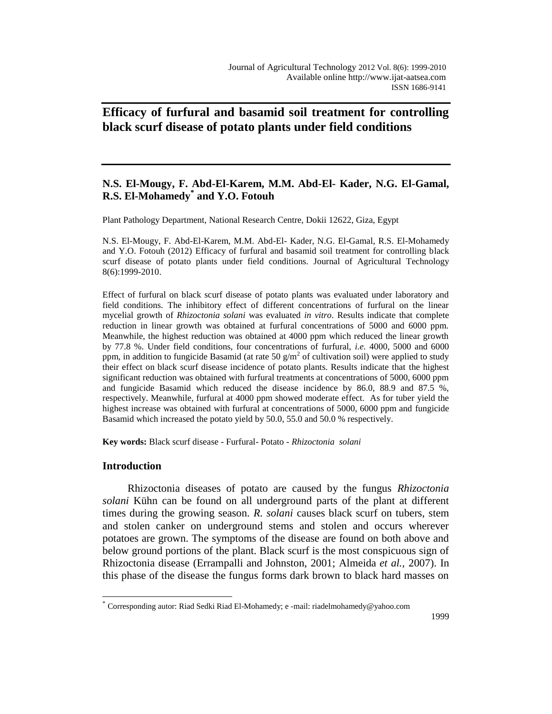# **Efficacy of furfural and basamid soil treatment for controlling black scurf disease of potato plants under field conditions**

## **N.S. El-Mougy, F. Abd-El-Karem, M.M. Abd-El- Kader, N.G. El-Gamal, R.S. El-Mohamedy\* and Y.O. Fotouh**

Plant Pathology Department, National Research Centre, Dokii 12622, Giza, Egypt

N.S. El-Mougy, F. Abd-El-Karem, M.M. Abd-El- Kader, N.G. El-Gamal, R.S. El-Mohamedy and Y.O. Fotouh (2012) Efficacy of furfural and basamid soil treatment for controlling black scurf disease of potato plants under field conditions. Journal of Agricultural Technology 8(6):1999-2010.

Effect of furfural on black scurf disease of potato plants was evaluated under laboratory and field conditions. The inhibitory effect of different concentrations of furfural on the linear mycelial growth of *Rhizoctonia solani* was evaluated *in vitro*. Results indicate that complete reduction in linear growth was obtained at furfural concentrations of 5000 and 6000 ppm. Meanwhile, the highest reduction was obtained at 4000 ppm which reduced the linear growth by 77.8 %. Under field conditions, four concentrations of furfural, *i.e.* 4000, 5000 and 6000 ppm, in addition to fungicide Basamid (at rate 50  $\text{g/m}^2$  of cultivation soil) were applied to study their effect on black scurf disease incidence of potato plants. Results indicate that the highest significant reduction was obtained with furfural treatments at concentrations of 5000, 6000 ppm and fungicide Basamid which reduced the disease incidence by 86.0, 88.9 and 87.5 %, respectively. Meanwhile, furfural at 4000 ppm showed moderate effect. As for tuber yield the highest increase was obtained with furfural at concentrations of 5000, 6000 ppm and fungicide Basamid which increased the potato yield by 50.0, 55.0 and 50.0 % respectively.

**Key words:** Black scurf disease - Furfural- Potato *- Rhizoctonia solani*

## **Introduction**

 $\overline{a}$ 

Rhizoctonia diseases of potato are caused by the fungus *Rhizoctonia solani* Kühn can be found on all underground parts of the plant at different times during the growing season. *R. solani* causes black scurf on tubers, stem and stolen canker on underground stems and stolen and occurs wherever potatoes are grown. The symptoms of the disease are found on both above and below ground portions of the plant. Black scurf is the most conspicuous sign of Rhizoctonia disease (Errampalli and Johnston, 2001; Almeida *et al.,* 2007). In this phase of the disease the fungus forms dark brown to black hard masses on

<sup>\*</sup> Corresponding autor: Riad Sedki Riad El-Mohamedy; e -mail: riadelmohamedy@yahoo.com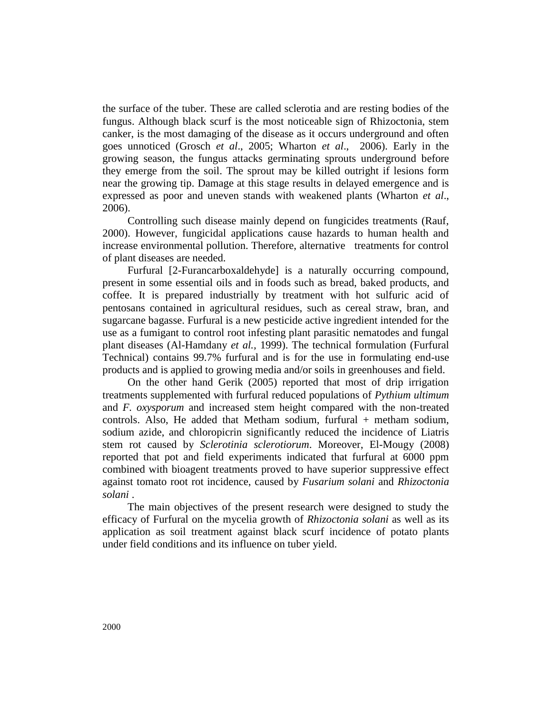the surface of the tuber. These are called sclerotia and are resting bodies of the fungus. Although black scurf is the most noticeable sign of Rhizoctonia, stem canker, is the most damaging of the disease as it occurs underground and often goes unnoticed (Grosch *et al*., 2005; Wharton *et al*., 2006). Early in the growing season, the fungus attacks germinating sprouts underground before they emerge from the soil. The sprout may be killed outright if lesions form near the growing tip. Damage at this stage results in delayed emergence and is expressed as poor and uneven stands with weakened plants (Wharton *et al*., 2006).

Controlling such disease mainly depend on fungicides treatments (Rauf, 2000). However, fungicidal applications cause hazards to human health and increase environmental pollution. Therefore, alternative treatments for control of plant diseases are needed.

Furfural [2-Furancarboxaldehyde] is a naturally occurring compound, present in some essential oils and in foods such as bread, baked products, and coffee. It is prepared industrially by treatment with hot sulfuric acid of pentosans contained in agricultural residues, such as cereal straw, bran, and sugarcane bagasse. Furfural is a new pesticide active ingredient intended for the use as a fumigant to control root infesting plant parasitic nematodes and fungal plant diseases (Al-Hamdany *et al.,* 1999). The technical formulation (Furfural Technical) contains 99.7% furfural and is for the use in formulating end-use products and is applied to growing media and/or soils in greenhouses and field.

On the other hand Gerik (2005) reported that most of drip irrigation treatments supplemented with furfural reduced populations of *Pythium ultimum*  and *F. oxysporum* and increased stem height compared with the non-treated controls. Also, He added that Metham sodium, furfural + metham sodium, sodium azide, and chloropicrin significantly reduced the incidence of Liatris stem rot caused by *Sclerotinia sclerotiorum*. Moreover, El-Mougy (2008) reported that pot and field experiments indicated that furfural at 6000 ppm combined with bioagent treatments proved to have superior suppressive effect against tomato root rot incidence, caused by *Fusarium solani* and *Rhizoctonia solani* .

The main objectives of the present research were designed to study the efficacy of Furfural on the mycelia growth of *Rhizoctonia solani* as well as its application as soil treatment against black scurf incidence of potato plants under field conditions and its influence on tuber yield.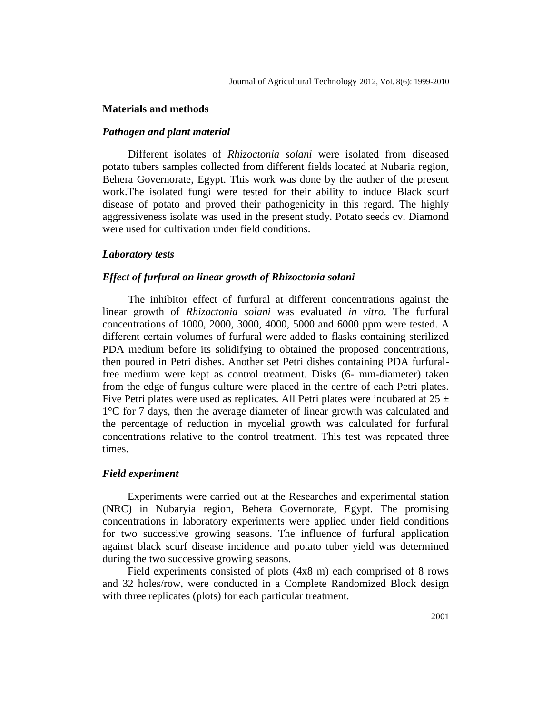#### **Materials and methods**

### *Pathogen and plant material*

Different isolates of *Rhizoctonia solani* were isolated from diseased potato tubers samples collected from different fields located at Nubaria region, Behera Governorate, Egypt. This work was done by the auther of the present work.The isolated fungi were tested for their ability to induce Black scurf disease of potato and proved their pathogenicity in this regard. The highly aggressiveness isolate was used in the present study. Potato seeds cv. Diamond were used for cultivation under field conditions.

#### *Laboratory tests*

## *Effect of furfural on linear growth of Rhizoctonia solani*

The inhibitor effect of furfural at different concentrations against the linear growth of *Rhizoctonia solani* was evaluated *in vitro*. The furfural concentrations of 1000, 2000, 3000, 4000, 5000 and 6000 ppm were tested. A different certain volumes of furfural were added to flasks containing sterilized PDA medium before its solidifying to obtained the proposed concentrations, then poured in Petri dishes. Another set Petri dishes containing PDA furfuralfree medium were kept as control treatment. Disks (6- mm-diameter) taken from the edge of fungus culture were placed in the centre of each Petri plates. Five Petri plates were used as replicates. All Petri plates were incubated at  $25 \pm$ 1°C for 7 days, then the average diameter of linear growth was calculated and the percentage of reduction in mycelial growth was calculated for furfural concentrations relative to the control treatment. This test was repeated three times.

## *Field experiment*

Experiments were carried out at the Researches and experimental station (NRC) in Nubaryia region, Behera Governorate, Egypt. The promising concentrations in laboratory experiments were applied under field conditions for two successive growing seasons. The influence of furfural application against black scurf disease incidence and potato tuber yield was determined during the two successive growing seasons.

Field experiments consisted of plots (4x8 m) each comprised of 8 rows and 32 holes/row, were conducted in a Complete Randomized Block design with three replicates (plots) for each particular treatment.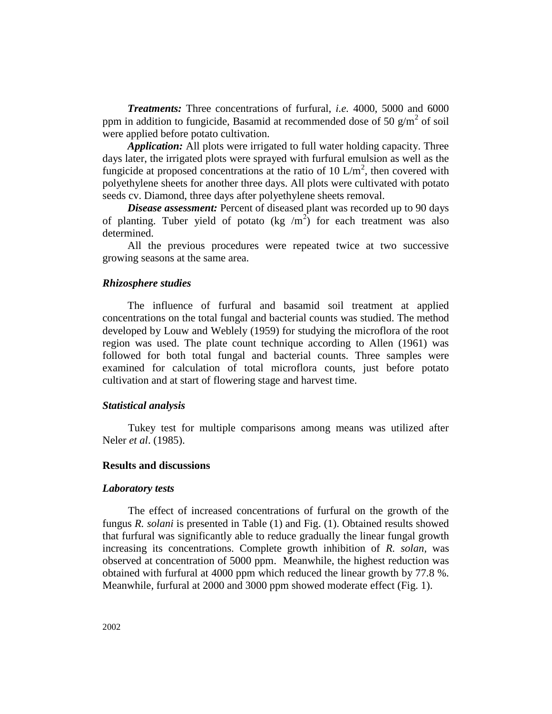*Treatments:* Three concentrations of furfural, *i.e.* 4000, 5000 and 6000 ppm in addition to fungicide, Basamid at recommended dose of 50  $\text{g/m}^2$  of soil were applied before potato cultivation.

*Application:* All plots were irrigated to full water holding capacity. Three days later, the irrigated plots were sprayed with furfural emulsion as well as the fungicide at proposed concentrations at the ratio of 10  $\text{L/m}^2$ , then covered with polyethylene sheets for another three days. All plots were cultivated with potato seeds cv. Diamond, three days after polyethylene sheets removal.

*Disease assessment:* Percent of diseased plant was recorded up to 90 days of planting. Tuber yield of potato (kg  $/m^2$ ) for each treatment was also determined.

All the previous procedures were repeated twice at two successive growing seasons at the same area.

#### *Rhizosphere studies*

The influence of furfural and basamid soil treatment at applied concentrations on the total fungal and bacterial counts was studied. The method developed by Louw and Weblely (1959) for studying the microflora of the root region was used. The plate count technique according to Allen (1961) was followed for both total fungal and bacterial counts. Three samples were examined for calculation of total microflora counts, just before potato cultivation and at start of flowering stage and harvest time.

#### *Statistical analysis*

Tukey test for multiple comparisons among means was utilized after Neler *et al*. (1985).

## **Results and discussions**

#### *Laboratory tests*

The effect of increased concentrations of furfural on the growth of the fungus *R. solani* is presented in Table (1) and Fig. (1). Obtained results showed that furfural was significantly able to reduce gradually the linear fungal growth increasing its concentrations. Complete growth inhibition of *R. solan,* was observed at concentration of 5000 ppm. Meanwhile, the highest reduction was obtained with furfural at 4000 ppm which reduced the linear growth by 77.8 %. Meanwhile, furfural at 2000 and 3000 ppm showed moderate effect (Fig. 1).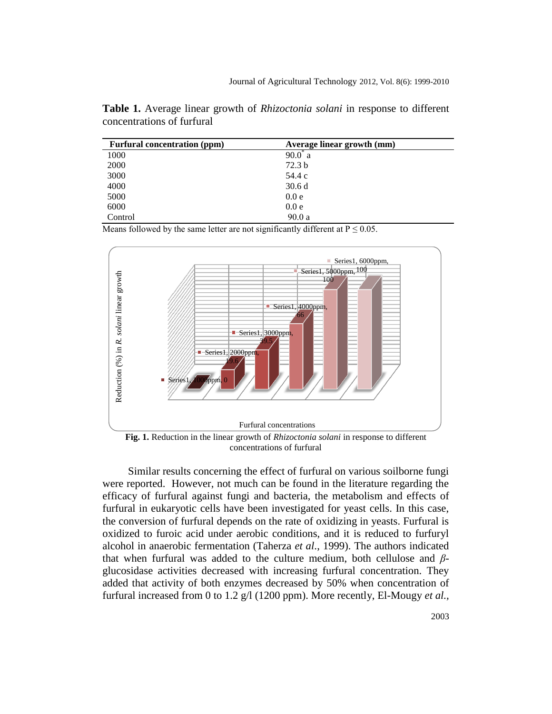**Table 1.** Average linear growth of *Rhizoctonia solani* in response to different concentrations of furfural

| <b>Furfural concentration (ppm)</b> | Average linear growth (mm) |
|-------------------------------------|----------------------------|
| 1000                                | $90.0^*$ a                 |
| 2000                                | 72.3 <sub>b</sub>          |
| 3000                                | 54.4 c                     |
| 4000                                | 30.6d                      |
| 5000                                | 0.0 e                      |
| 6000                                | 0.0 e                      |
| Control                             | 90.0a                      |

Means followed by the same letter are not significantly different at  $P \le 0.05$ .



concentrations of furfural

Similar results concerning the effect of furfural on various soilborne fungi were reported. However, not much can be found in the literature regarding the efficacy of furfural against fungi and bacteria, the metabolism and effects of furfural in eukaryotic cells have been investigated for yeast cells. In this case, the conversion of furfural depends on the rate of oxidizing in yeasts. Furfural is oxidized to furoic acid under aerobic conditions, and it is reduced to furfuryl alcohol in anaerobic fermentation (Taherza *et al*., 1999). The authors indicated that when furfural was added to the culture medium, both cellulose and *β*glucosidase activities decreased with increasing furfural concentration. They added that activity of both enzymes decreased by 50% when concentration of furfural increased from 0 to 1.2 g/l (1200 ppm). More recently, El-Mougy *et al.,*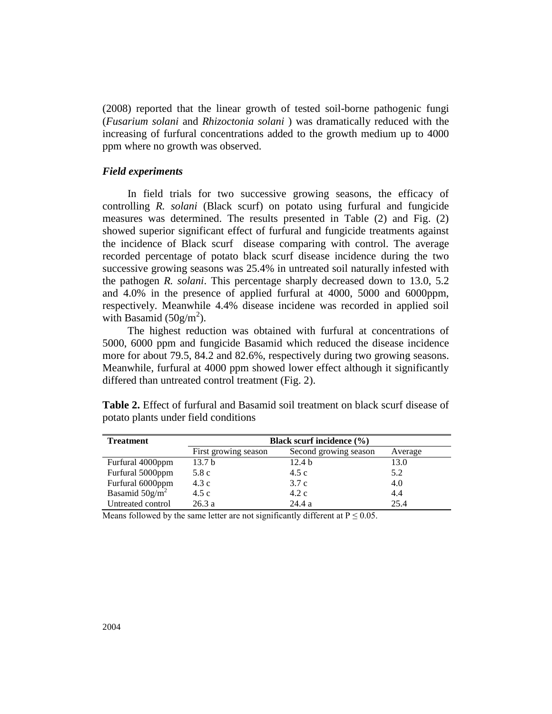(2008) reported that the linear growth of tested soil-borne pathogenic fungi (*Fusarium solani* and *Rhizoctonia solani* ) was dramatically reduced with the increasing of furfural concentrations added to the growth medium up to 4000 ppm where no growth was observed.

#### *Field experiments*

In field trials for two successive growing seasons, the efficacy of controlling *R. solani* (Black scurf) on potato using furfural and fungicide measures was determined. The results presented in Table (2) and Fig. (2) showed superior significant effect of furfural and fungicide treatments against the incidence of Black scurf disease comparing with control. The average recorded percentage of potato black scurf disease incidence during the two successive growing seasons was 25.4% in untreated soil naturally infested with the pathogen *R. solani*. This percentage sharply decreased down to 13.0, 5.2 and 4.0% in the presence of applied furfural at 4000, 5000 and 6000ppm, respectively. Meanwhile 4.4% disease incidene was recorded in applied soil with Basamid  $(50g/m^2)$ .

The highest reduction was obtained with furfural at concentrations of 5000, 6000 ppm and fungicide Basamid which reduced the disease incidence more for about 79.5, 84.2 and 82.6%, respectively during two growing seasons. Meanwhile, furfural at 4000 ppm showed lower effect although it significantly differed than untreated control treatment (Fig. 2).

| <b>Treatment</b>  | <b>Black scurf incidence</b> (%) |                       |         |  |  |
|-------------------|----------------------------------|-----------------------|---------|--|--|
|                   | First growing season             | Second growing season | Average |  |  |
| Furfural 4000ppm  | 13.7 <sub>b</sub>                | 12.4 <sub>b</sub>     | 13.0    |  |  |
| Furfural 5000ppm  | 5.8 c                            | 4.5c                  | 5.2     |  |  |
| Furfural 6000ppm  | 4.3c                             | 3.7c                  | 4.0     |  |  |
| Basamid $50g/m^2$ | 4.5c                             | 4.2c                  | 4.4     |  |  |
| Untreated control | 26.3a                            | 24.4a                 | 25.4    |  |  |

**Table 2.** Effect of furfural and Basamid soil treatment on black scurf disease of potato plants under field conditions

Means followed by the same letter are not significantly different at  $P \le 0.05$ .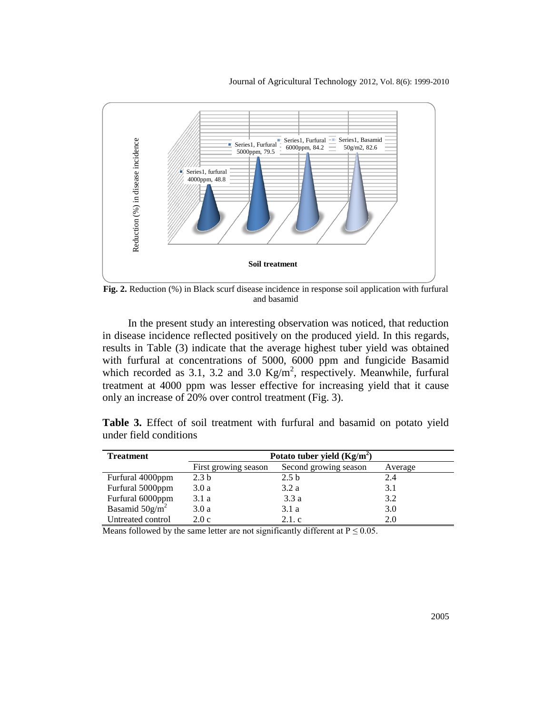

**Fig. 2.** Reduction (%) in Black scurf disease incidence in response soil application with furfural and basamid

In the present study an interesting observation was noticed, that reduction in disease incidence reflected positively on the produced yield. In this regards, results in Table (3) indicate that the average highest tuber yield was obtained with furfural at concentrations of 5000, 6000 ppm and fungicide Basamid which recorded as 3.1, 3.2 and 3.0  $\text{Kg/m}^2$ , respectively. Meanwhile, furfural treatment at 4000 ppm was lesser effective for increasing yield that it cause only an increase of 20% over control treatment (Fig. 3).

| <b>Treatment</b>  | Potato tuber yield $(Kg/m^2)$ |                       |         |  |  |  |
|-------------------|-------------------------------|-----------------------|---------|--|--|--|
|                   | First growing season          | Second growing season | Average |  |  |  |
| Furfural 4000ppm  | 2.3 <sub>b</sub>              | 2.5 <sub>b</sub>      | 2.4     |  |  |  |
| Furfural 5000ppm  | 3.0a                          | 3.2a                  | 3.1     |  |  |  |
| Furfural 6000ppm  | 3.1 a                         | 3.3a                  | 3.2     |  |  |  |
| Basamid $50g/m^2$ | 3.0a                          | 3.1a                  | 3.0     |  |  |  |
| Untreated control | 2.0c                          | 2.1.c                 | 2.0     |  |  |  |

**Table 3.** Effect of soil treatment with furfural and basamid on potato yield under field conditions

Means followed by the same letter are not significantly different at  $P \le 0.05$ .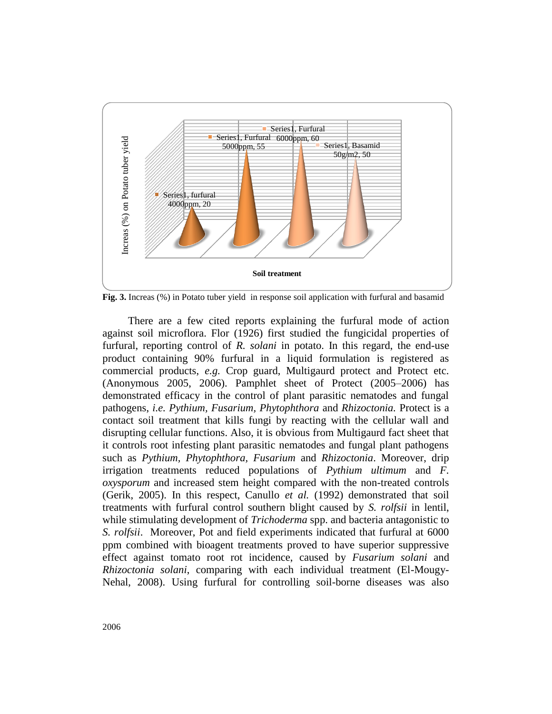

**Fig. 3.** Increas (%) in Potato tuber yield in response soil application with furfural and basamid

There are a few cited reports explaining the furfural mode of action against soil microflora. Flor (1926) first studied the fungicidal properties of furfural, reporting control of *R. solani* in potato. In this regard, the end-use product containing 90% furfural in a liquid formulation is registered as commercial products, *e.g.* Crop guard, Multigaurd protect and Protect etc. (Anonymous 2005, 2006). Pamphlet sheet of Protect (2005–2006) has demonstrated efficacy in the control of plant parasitic nematodes and fungal pathogens, *i.e. Pythium, Fusarium, Phytophthora* and *Rhizoctonia.* Protect is a contact soil treatment that kills fungi by reacting with the cellular wall and disrupting cellular functions. Also, it is obvious from Multigaurd fact sheet that it controls root infesting plant parasitic nematodes and fungal plant pathogens such as *Pythium, Phytophthora, Fusarium* and *Rhizoctonia*. Moreover, drip irrigation treatments reduced populations of *Pythium ultimum* and *F. oxysporum* and increased stem height compared with the non-treated controls (Gerik, 2005). In this respect, Canullo *et al.* (1992) demonstrated that soil treatments with furfural control southern blight caused by *S. rolfsii* in lentil, while stimulating development of *Trichoderma* spp. and bacteria antagonistic to *S. rolfsii*. Moreover, Pot and field experiments indicated that furfural at 6000 ppm combined with bioagent treatments proved to have superior suppressive effect against tomato root rot incidence, caused by *Fusarium solani* and *Rhizoctonia solani*, comparing with each individual treatment (El-Mougy-Nehal, 2008). Using furfural for controlling soil-borne diseases was also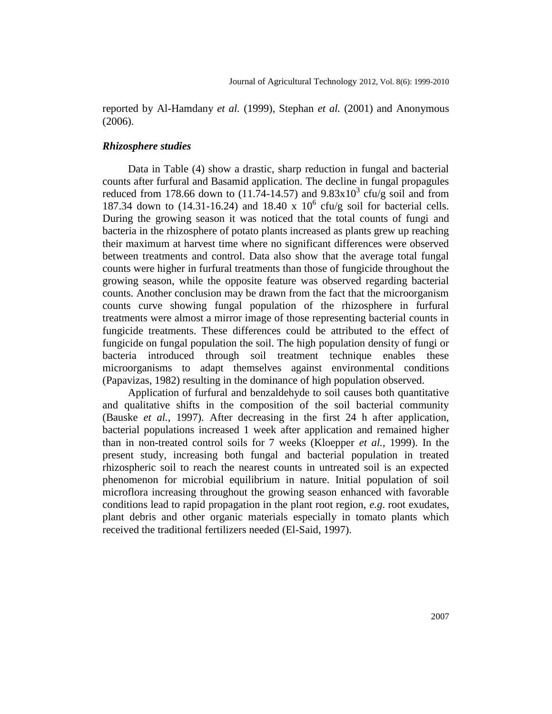reported by Al-Hamdany *et al.* (1999), Stephan *et al.* (2001) and Anonymous (2006).

## *Rhizosphere studies*

Data in Table (4) show a drastic, sharp reduction in fungal and bacterial counts after furfural and Basamid application. The decline in fungal propagules reduced from 178.66 down to  $(11.74-14.57)$  and  $9.83 \times 10^{3}$  cfu/g soil and from 187.34 down to  $(14.31-16.24)$  and 18.40 x  $10^6$  cfu/g soil for bacterial cells. During the growing season it was noticed that the total counts of fungi and bacteria in the rhizosphere of potato plants increased as plants grew up reaching their maximum at harvest time where no significant differences were observed between treatments and control. Data also show that the average total fungal counts were higher in furfural treatments than those of fungicide throughout the growing season, while the opposite feature was observed regarding bacterial counts. Another conclusion may be drawn from the fact that the microorganism counts curve showing fungal population of the rhizosphere in furfural treatments were almost a mirror image of those representing bacterial counts in fungicide treatments. These differences could be attributed to the effect of fungicide on fungal population the soil. The high population density of fungi or bacteria introduced through soil treatment technique enables these microorganisms to adapt themselves against environmental conditions (Papavizas, 1982) resulting in the dominance of high population observed.

Application of furfural and benzaldehyde to soil causes both quantitative and qualitative shifts in the composition of the soil bacterial community (Bauske *et al.,* 1997). After decreasing in the first 24 h after application, bacterial populations increased 1 week after application and remained higher than in non-treated control soils for 7 weeks (Kloepper *et al.,* 1999). In the present study, increasing both fungal and bacterial population in treated rhizospheric soil to reach the nearest counts in untreated soil is an expected phenomenon for microbial equilibrium in nature. Initial population of soil microflora increasing throughout the growing season enhanced with favorable conditions lead to rapid propagation in the plant root region, *e.g*. root exudates, plant debris and other organic materials especially in tomato plants which received the traditional fertilizers needed (El-Said, 1997).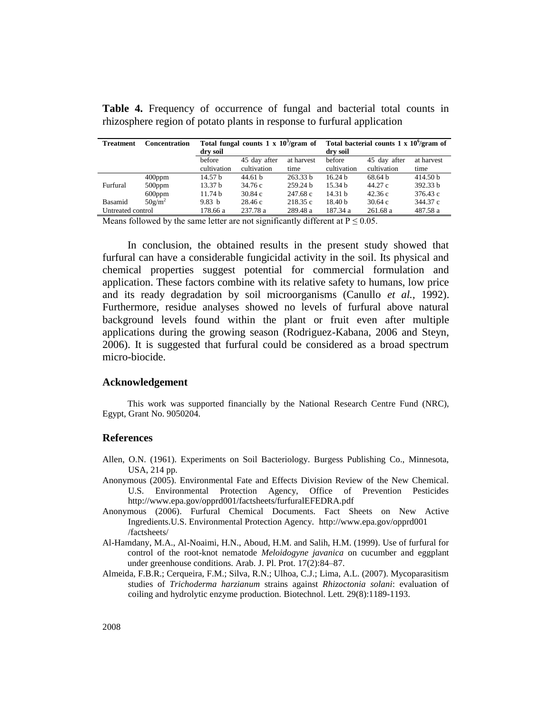| <b>Treatment</b>  | <b>Concentration</b> | Total fungal counts $1 \times 10^3$ /gram of |              |            | Total bacterial counts $1 \times 10^6$ /gram of |                    |                     |  |
|-------------------|----------------------|----------------------------------------------|--------------|------------|-------------------------------------------------|--------------------|---------------------|--|
|                   |                      | dry soil                                     |              |            | dry soil                                        |                    |                     |  |
|                   |                      | hefore                                       | 45 day after | at harvest | before                                          | 45 day after       | at harvest          |  |
|                   |                      | cultivation                                  | cultivation  | time       | cultivation                                     | cultivation        | time                |  |
|                   | $400$ ppm            | 14.57 h                                      | 44.61 h      | 263.33 h   | 16.24 h                                         | 68.64 <sub>b</sub> | 414.50 <sub>b</sub> |  |
| Furfural          | $500$ ppm            | 13.37 <sub>b</sub>                           | 34.76 c      | 259.24 b   | 15.34 h                                         | 44.27 c            | 392.33 b            |  |
|                   | $600$ ppm            | 11.74 <sub>b</sub>                           | 30.84c       | 247.68 c   | 14.31 h                                         | 42.36c             | 376.43 c            |  |
| Basamid           | $50g/m^2$            | 9.83 h                                       | 28.46 c      | 218.35 c   | 18.40 <sub>b</sub>                              | 30.64c             | 344.37 c            |  |
| Untreated control |                      | 178.66 a                                     | 237.78 a     | 289.48 a   | 187.34 a                                        | 261.68 a           | 487.58 a            |  |

**Table 4.** Frequency of occurrence of fungal and bacterial total counts in rhizosphere region of potato plants in response to furfural application

Means followed by the same letter are not significantly different at  $P \le 0.05$ .

In conclusion, the obtained results in the present study showed that furfural can have a considerable fungicidal activity in the soil. Its physical and chemical properties suggest potential for commercial formulation and application. These factors combine with its relative safety to humans, low price and its ready degradation by soil microorganisms (Canullo *et al.,* 1992). Furthermore, residue analyses showed no levels of furfural above natural background levels found within the plant or fruit even after multiple applications during the growing season (Rodriguez-Kabana, 2006 and Steyn, 2006). It is suggested that furfural could be considered as a broad spectrum micro-biocide.

#### **Acknowledgement**

This work was supported financially by the National Research Centre Fund (NRC), Egypt, Grant No. 9050204.

#### **References**

- Allen, O.N. (1961). Experiments on Soil Bacteriology. Burgess Publishing Co., Minnesota, USA, 214 pp.
- Anonymous (2005). Environmental Fate and Effects Division Review of the New Chemical. U.S. Environmental Protection Agency, Office of Prevention Pesticides http://www.epa.gov/opprd001/factsheets/furfuralEFEDRA.pdf
- Anonymous (2006). Furfural Chemical Documents. Fact Sheets on New Active Ingredients.U.S. Environmental Protection Agency. http://www.epa.gov/opprd001 /factsheets/
- Al-Hamdany, M.A., Al-Noaimi, H.N., Aboud, H.M. and Salih, H.M. (1999). Use of furfural for control of the root-knot nematode *Meloidogyne javanica* on cucumber and eggplant under greenhouse conditions. Arab. J. Pl. Prot. 17(2):84–87.
- Almeida, F.B.R.; Cerqueira, F.M.; Silva, R.N.; Ulhoa, C.J.; Lima, A.L. (2007). Mycoparasitism studies of *Trichoderma harzianum* strains against *Rhizoctonia solani*: evaluation of coiling and hydrolytic enzyme production. Biotechnol. Lett*.* 29(8):1189-1193.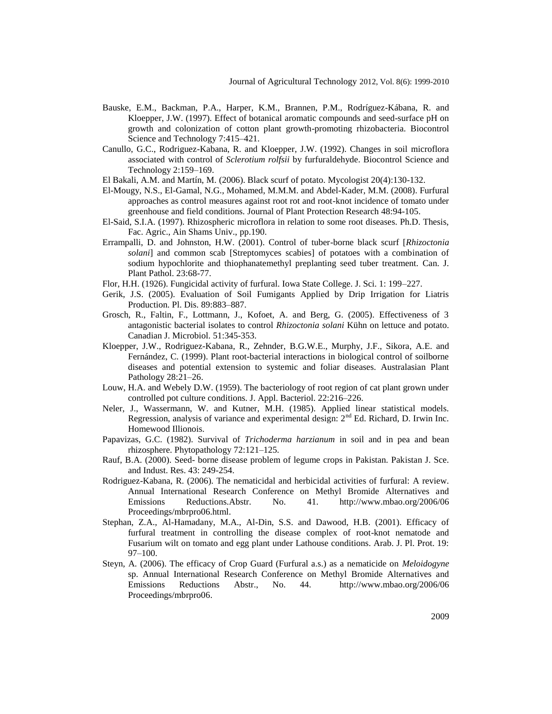- Bauske, E.M., Backman, P.A., Harper, K.M., Brannen, P.M., Rodríguez-Kábana, R. and Kloepper, J.W. (1997). Effect of botanical aromatic compounds and seed-surface pH on growth and colonization of cotton plant growth-promoting rhizobacteria. Biocontrol Science and Technology 7:415–421.
- Canullo, G.C., Rodriguez-Kabana, R. and Kloepper, J.W. (1992). Changes in soil microflora associated with control of *Sclerotium rolfsii* by furfuraldehyde. Biocontrol Science and Technology 2:159–169.
- El Bakali, A.M. and Martín, M. (2006). Black scurf of potato. Mycologist 20(4):130-132.
- El-Mougy, N.S., El-Gamal, N.G., Mohamed, M.M.M. and Abdel-Kader, M.M. (2008). Furfural approaches as control measures against root rot and root-knot incidence of tomato under greenhouse and field conditions. Journal of Plant Protection Research 48:94-105.
- El-Said, S.I.A. (1997). Rhizospheric microflora in relation to some root diseases. Ph.D. Thesis, Fac. Agric., Ain Shams Univ., pp.190.
- Errampalli, D. and Johnston, H.W. (2001). Control of tuber-borne black scurf [*Rhizoctonia solani*] and common scab [Streptomyces scabies] of potatoes with a combination of sodium hypochlorite and thiophanatemethyl preplanting seed tuber treatment. Can. J. Plant Pathol. 23:68-77.
- Flor, H.H. (1926). Fungicidal activity of furfural. Iowa State College. J. Sci. 1: 199–227.
- Gerik, J.S. (2005). Evaluation of Soil Fumigants Applied by Drip Irrigation for Liatris Production. Pl. Dis. 89:883–887.
- Grosch, R., Faltin, F., Lottmann, J., Kofoet, A. and Berg, G. (2005). Effectiveness of 3 antagonistic bacterial isolates to control *Rhizoctonia solani* Kühn on lettuce and potato. Canadian J. Microbiol. 51:345-353.
- Kloepper, J.W., Rodriguez-Kabana, R., Zehnder, B.G.W.E., Murphy, J.F., Sikora, A.E. and Fernández, C. (1999). Plant root-bacterial interactions in biological control of soilborne diseases and potential extension to systemic and foliar diseases. Australasian Plant Pathology 28:21–26.
- Louw, H.A. and Webely D.W. (1959). The bacteriology of root region of cat plant grown under controlled pot culture conditions. J. Appl. Bacteriol. 22:216–226.
- Neler, J., Wassermann, W. and Kutner, M.H. (1985). Applied linear statistical models. Regression, analysis of variance and experimental design:  $2<sup>nd</sup>$  Ed. Richard, D. Irwin Inc. Homewood Illionois.
- Papavizas, G.C. (1982). Survival of *Trichoderma harzianum* in soil and in pea and bean rhizosphere. Phytopathology 72:121–125.
- Rauf, B.A. (2000). Seed- borne disease problem of legume crops in Pakistan. Pakistan J. Sce. and Indust. Res. 43: 249-254.
- Rodriguez-Kabana, R. (2006). The nematicidal and herbicidal activities of furfural: A review. Annual International Research Conference on Methyl Bromide Alternatives and Emissions Reductions.Abstr. No. 41. http://www.mbao.org/2006/06 Proceedings/mbrpro06.html.
- Stephan, Z.A., Al-Hamadany, M.A., Al-Din, S.S. and Dawood, H.B. (2001). Efficacy of furfural treatment in controlling the disease complex of root-knot nematode and Fusarium wilt on tomato and egg plant under Lathouse conditions. Arab. J. Pl. Prot. 19: 97–100.
- Steyn, A. (2006). The efficacy of Crop Guard (Furfural a.s.) as a nematicide on *Meloidogyne*  sp. Annual International Research Conference on Methyl Bromide Alternatives and Emissions Reductions Abstr., No. 44. http://www.mbao.org/2006/06 Proceedings/mbrpro06.